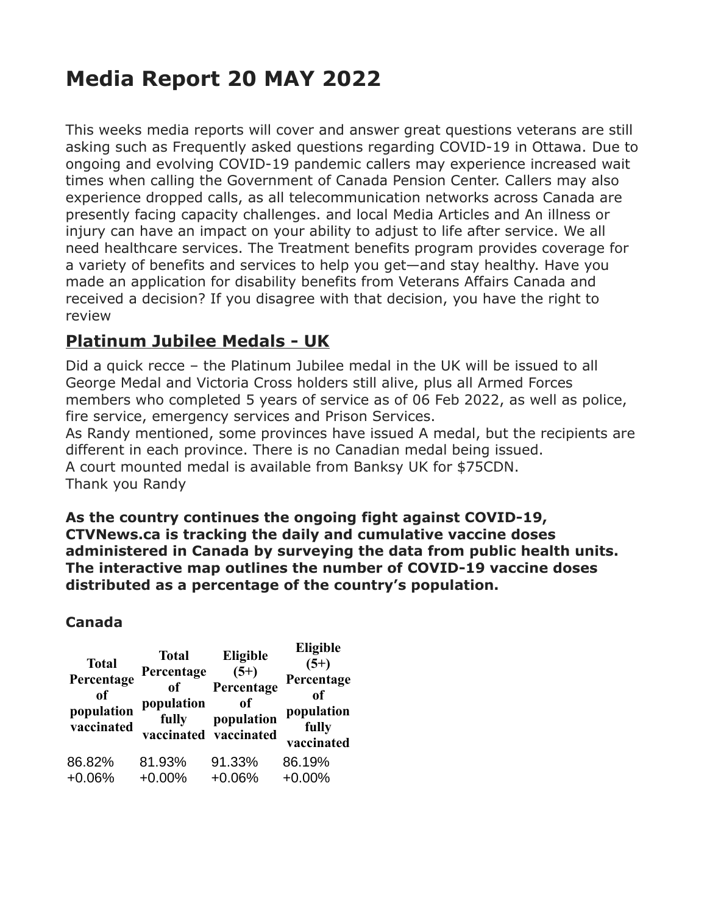# **Media Report 20 MAY 2022**

This weeks media reports will cover and answer great questions veterans are still asking such as Frequently asked questions regarding COVID-19 in Ottawa. Due to ongoing and evolving COVID-19 pandemic callers may experience increased wait times when calling the Government of Canada Pension Center. Callers may also experience dropped calls, as all telecommunication networks across Canada are presently facing capacity challenges. and local Media Articles and An illness or injury can have an impact on your ability to adjust to life after service. We all need healthcare services. The Treatment benefits program provides coverage for a variety of benefits and services to help you get—and stay healthy. Have you made an application for disability benefits from Veterans Affairs Canada and received a decision? If you disagree with that decision, you have the right to review

## **Platinum Jubilee Medals - UK**

Did a quick recce – the Platinum Jubilee medal in the UK will be issued to all George Medal and Victoria Cross holders still alive, plus all Armed Forces members who completed 5 years of service as of 06 Feb 2022, as well as police, fire service, emergency services and Prison Services.

As Randy mentioned, some provinces have issued A medal, but the recipients are different in each province. There is no Canadian medal being issued. A court mounted medal is available from Banksy UK for \$75CDN. Thank you Randy

**As the country continues the ongoing fight against COVID-19, CTVNews.ca is tracking the daily and cumulative vaccine doses administered in Canada by surveying the data from public health units. The interactive map outlines the number of COVID-19 vaccine doses distributed as a percentage of the country's population.**

#### **Canada**

| <b>Total</b><br>Percentage<br>of<br>population<br>vaccinated | <b>Total</b><br>Percentage<br>0f<br>population<br>fully | Eligible<br>$(5+)$<br>Percentage<br>of<br>population<br>vaccinated vaccinated | Eligible<br>$(5+)$<br>Percentage<br>of<br>population<br>fully<br>vaccinated |
|--------------------------------------------------------------|---------------------------------------------------------|-------------------------------------------------------------------------------|-----------------------------------------------------------------------------|
| 86.82%                                                       | 81.93%                                                  | 91.33%                                                                        | 86.19%                                                                      |
| $+0.06%$                                                     | $+0.00%$                                                | $+0.06%$                                                                      | $+0.00%$                                                                    |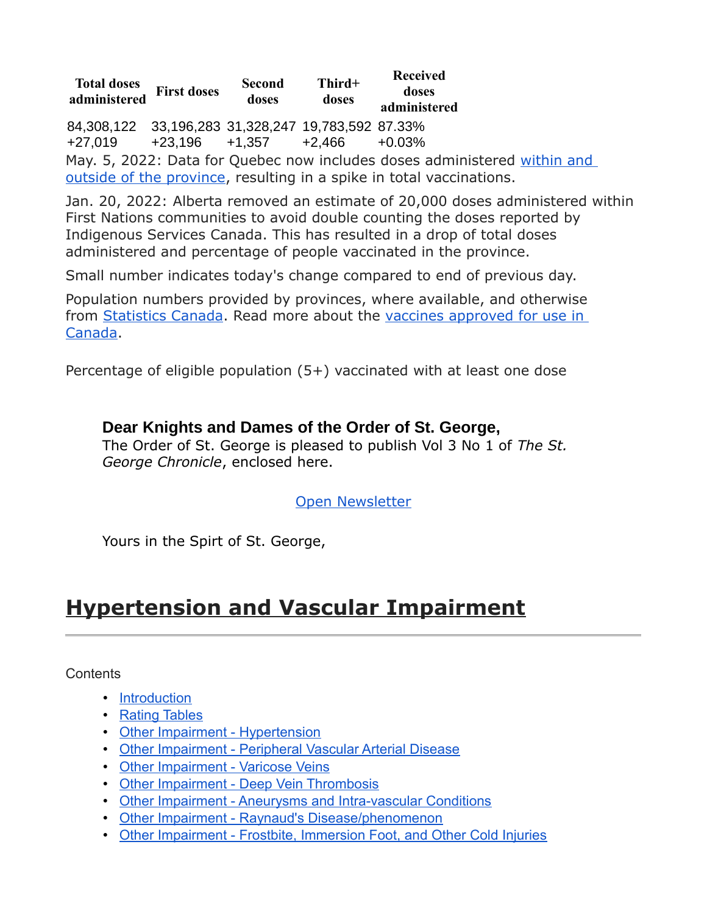**Total doses administered First doses Second doses Third+ doses Received doses administered** 84,308,122 33,196,283 31,328,247 19,783,592 87.33% +27,019 +23,196 +1,357 +2,466 +0.03% May. 5, 2022: Data for Quebec now includes doses administered [within and](https://www.donneesquebec.ca/recherche/dataset/covid-19-portrait-quotidien-de-la-vaccination/resource/3690a657-d281-4991-8536-cd7239912d86)  [outside of the province,](https://www.donneesquebec.ca/recherche/dataset/covid-19-portrait-quotidien-de-la-vaccination/resource/3690a657-d281-4991-8536-cd7239912d86) resulting in a spike in total vaccinations.

Jan. 20, 2022: Alberta removed an estimate of 20,000 doses administered within First Nations communities to avoid double counting the doses reported by Indigenous Services Canada. This has resulted in a drop of total doses administered and percentage of people vaccinated in the province.

Small number indicates today's change compared to end of previous day.

Population numbers provided by provinces, where available, and otherwise from [Statistics Canada.](https://www150.statcan.gc.ca/t1/tbl1/en/tv.action?pid=1710000501) Read more about the vaccines approved for use in [Canada.](https://www.canada.ca/en/health-canada/services/drugs-health-products/covid19-industry/drugs-vaccines-treatments/vaccines.html)

Percentage of eligible population (5+) vaccinated with at least one dose

#### **Dear Knights and Dames of the Order of St. George,**

The Order of St. George is pleased to publish Vol 3 No 1 of *The St. George Chronicle*, enclosed here.

#### [Open Newsletter](https://u2306505.ct.sendgrid.net/ls/click?upn=M3V7pKe308SQRDM8wYnXBVn7gS9Xo6-2Fz7scOKYiaJXW83-2BQs0-2FlacyKG412-2BSfIwPSKf7v8vcceviKF-2FSVa5sM72CDSA2Ta3UcnZHIu-2BX4WLJOd58RHBvPJq7X-2FWPZZdTZMo10P3-2ByaSiUyJ2o98ky-2FHP-2BfvqOvrQCiqme2WDEgsnGMQtlobJMotMCt2A5zZsmlrD5U6R9nQmiMdjCT66I3i2JGNkuxKOImJsCX140z3ipQaaQlhmyGsc5dlVesxGs3lwucZUX-2FD9vg1C2QDx43jGgzmraZh-2BNPcv1W8oOg-3DV-dN_wcxeDXlobEPZavEyazAWE0VbZVZkXQue9q49rLZ1hZPwrYr-2BjuDr03a486pq70MUOP-2FLioRVyBn0z5MGZOb1Y6Oekz7cbcOQnte-2BtmGdJdOAP5ZpL2EJE2kCw9zs0hsKowbvXTBw1Q8fa-2F-2BNwItar9NAaGris6a3G7Z8HEmWRlz3Ej-2FpPEzUf32JACh42xNQiLfY6Zo-2BXgmNSF92HTwpCg-3D-3D)

Yours in the Spirt of St. George,

## **Hypertension and Vascular Impairment**

**Contents** 

- [Introduction](https://www.veterans.gc.ca/eng/health-support/physical-health-and-wellness/compensation-illness-injury/disability-benefits/benefits-determined/table-of-disabilities/ch-13-2006#a01)
- [Rating Tables](https://www.veterans.gc.ca/eng/health-support/physical-health-and-wellness/compensation-illness-injury/disability-benefits/benefits-determined/table-of-disabilities/ch-13-2006#a02)
- [Other Impairment Hypertension](https://www.veterans.gc.ca/eng/health-support/physical-health-and-wellness/compensation-illness-injury/disability-benefits/benefits-determined/table-of-disabilities/ch-13-2006#a03)
- [Other Impairment Peripheral Vascular Arterial Disease](https://www.veterans.gc.ca/eng/health-support/physical-health-and-wellness/compensation-illness-injury/disability-benefits/benefits-determined/table-of-disabilities/ch-13-2006#a04)
- [Other Impairment Varicose Veins](https://www.veterans.gc.ca/eng/health-support/physical-health-and-wellness/compensation-illness-injury/disability-benefits/benefits-determined/table-of-disabilities/ch-13-2006#a05)
- [Other Impairment Deep Vein Thrombosis](https://www.veterans.gc.ca/eng/health-support/physical-health-and-wellness/compensation-illness-injury/disability-benefits/benefits-determined/table-of-disabilities/ch-13-2006#a06)
- [Other Impairment Aneurysms and Intra-vascular Conditions](https://www.veterans.gc.ca/eng/health-support/physical-health-and-wellness/compensation-illness-injury/disability-benefits/benefits-determined/table-of-disabilities/ch-13-2006#a07)
- [Other Impairment Raynaud's Disease/phenomenon](https://www.veterans.gc.ca/eng/health-support/physical-health-and-wellness/compensation-illness-injury/disability-benefits/benefits-determined/table-of-disabilities/ch-13-2006#a08)
- [Other Impairment Frostbite, Immersion Foot, and Other Cold Injuries](https://www.veterans.gc.ca/eng/health-support/physical-health-and-wellness/compensation-illness-injury/disability-benefits/benefits-determined/table-of-disabilities/ch-13-2006#a09)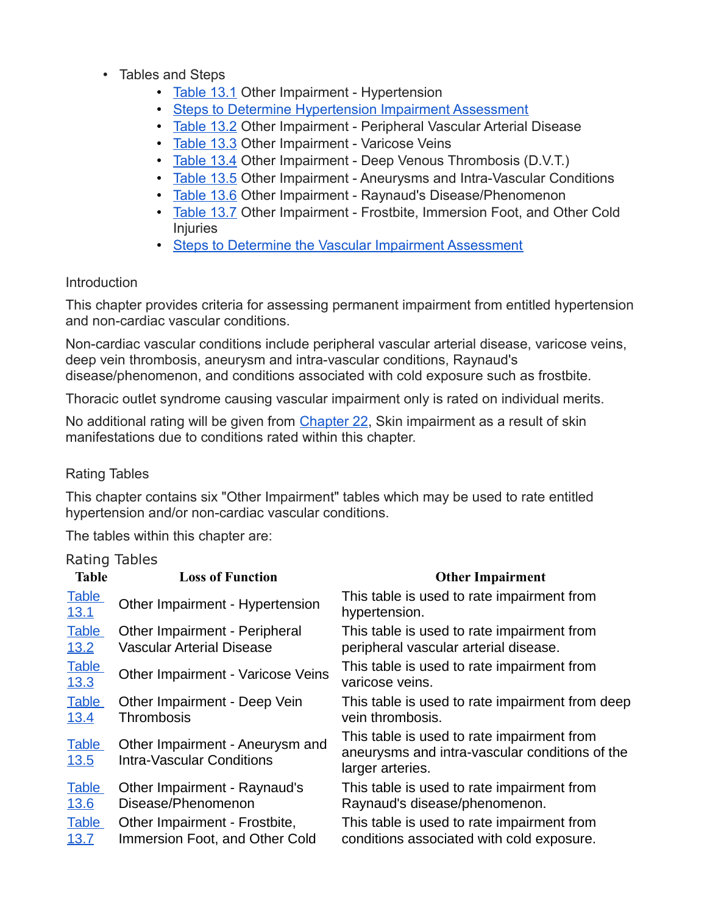- Tables and Steps
	- [Table 13.1](https://www.veterans.gc.ca/eng/health-support/physical-health-and-wellness/compensation-illness-injury/disability-benefits/benefits-determined/table-of-disabilities/ch-13-2006#t01) Other Impairment Hypertension
	- [Steps to Determine Hypertension Impairment Assessment](https://www.veterans.gc.ca/eng/health-support/physical-health-and-wellness/compensation-illness-injury/disability-benefits/benefits-determined/table-of-disabilities/ch-13-2006#a10)
	- [Table 13.2](https://www.veterans.gc.ca/eng/health-support/physical-health-and-wellness/compensation-illness-injury/disability-benefits/benefits-determined/table-of-disabilities/ch-13-2006#t02) Other Impairment Peripheral Vascular Arterial Disease
	- [Table 13.3](https://www.veterans.gc.ca/eng/health-support/physical-health-and-wellness/compensation-illness-injury/disability-benefits/benefits-determined/table-of-disabilities/ch-13-2006#t03) Other Impairment Varicose Veins
	- [Table 13.4](https://www.veterans.gc.ca/eng/health-support/physical-health-and-wellness/compensation-illness-injury/disability-benefits/benefits-determined/table-of-disabilities/ch-13-2006#t04) Other Impairment Deep Venous Thrombosis (D.V.T.)
	- [Table 13.5](https://www.veterans.gc.ca/eng/health-support/physical-health-and-wellness/compensation-illness-injury/disability-benefits/benefits-determined/table-of-disabilities/ch-13-2006#t05) Other Impairment Aneurysms and Intra-Vascular Conditions
	- [Table 13.6](https://www.veterans.gc.ca/eng/health-support/physical-health-and-wellness/compensation-illness-injury/disability-benefits/benefits-determined/table-of-disabilities/ch-13-2006#t06) Other Impairment Raynaud's Disease/Phenomenon
	- [Table 13.7](https://www.veterans.gc.ca/eng/health-support/physical-health-and-wellness/compensation-illness-injury/disability-benefits/benefits-determined/table-of-disabilities/ch-13-2006#t07) Other Impairment Frostbite, Immersion Foot, and Other Cold Injuries
	- [Steps to Determine the Vascular Impairment Assessment](https://www.veterans.gc.ca/eng/health-support/physical-health-and-wellness/compensation-illness-injury/disability-benefits/benefits-determined/table-of-disabilities/ch-13-2006#a12)

#### Introduction

This chapter provides criteria for assessing permanent impairment from entitled hypertension and non-cardiac vascular conditions.

Non-cardiac vascular conditions include peripheral vascular arterial disease, varicose veins, deep vein thrombosis, aneurysm and intra-vascular conditions, Raynaud's disease/phenomenon, and conditions associated with cold exposure such as frostbite.

Thoracic outlet syndrome causing vascular impairment only is rated on individual merits.

No additional rating will be given from [Chapter 22,](https://www.veterans.gc.ca/eng/services/after-injury/disability-benefits/benefits-determined/table-of-disabilities/ch-22-2006) Skin impairment as a result of skin manifestations due to conditions rated within this chapter.

#### Rating Tables

This chapter contains six "Other Impairment" tables which may be used to rate entitled hypertension and/or non-cardiac vascular conditions.

The tables within this chapter are:

#### Rating Tables

| <b>Table</b>                                        | <b>Loss of Function</b>                                                                                               | <b>Other Impairment</b>                                                                                                                                                |
|-----------------------------------------------------|-----------------------------------------------------------------------------------------------------------------------|------------------------------------------------------------------------------------------------------------------------------------------------------------------------|
| <b>Table</b><br><u>13.1</u>                         | Other Impairment - Hypertension                                                                                       | This table is used to rate impairment from<br>hypertension.                                                                                                            |
| <b>Table</b><br>13.2                                | Other Impairment - Peripheral<br><b>Vascular Arterial Disease</b>                                                     | This table is used to rate impairment from<br>peripheral vascular arterial disease.                                                                                    |
| <b>Table</b><br><u>13.3</u>                         | Other Impairment - Varicose Veins                                                                                     | This table is used to rate impairment from<br>varicose veins.                                                                                                          |
| <b>Table</b><br>13.4                                | Other Impairment - Deep Vein<br>Thrombosis                                                                            | This table is used to rate impairment from deep<br>vein thrombosis.                                                                                                    |
| <b>Table</b><br><b>13.5</b>                         | Other Impairment - Aneurysm and<br><b>Intra-Vascular Conditions</b>                                                   | This table is used to rate impairment from<br>aneurysms and intra-vascular conditions of the<br>larger arteries.                                                       |
| <b>Table</b><br><u>13.6</u><br><b>Table</b><br>13.7 | Other Impairment - Raynaud's<br>Disease/Phenomenon<br>Other Impairment - Frostbite,<br>Immersion Foot, and Other Cold | This table is used to rate impairment from<br>Raynaud's disease/phenomenon.<br>This table is used to rate impairment from<br>conditions associated with cold exposure. |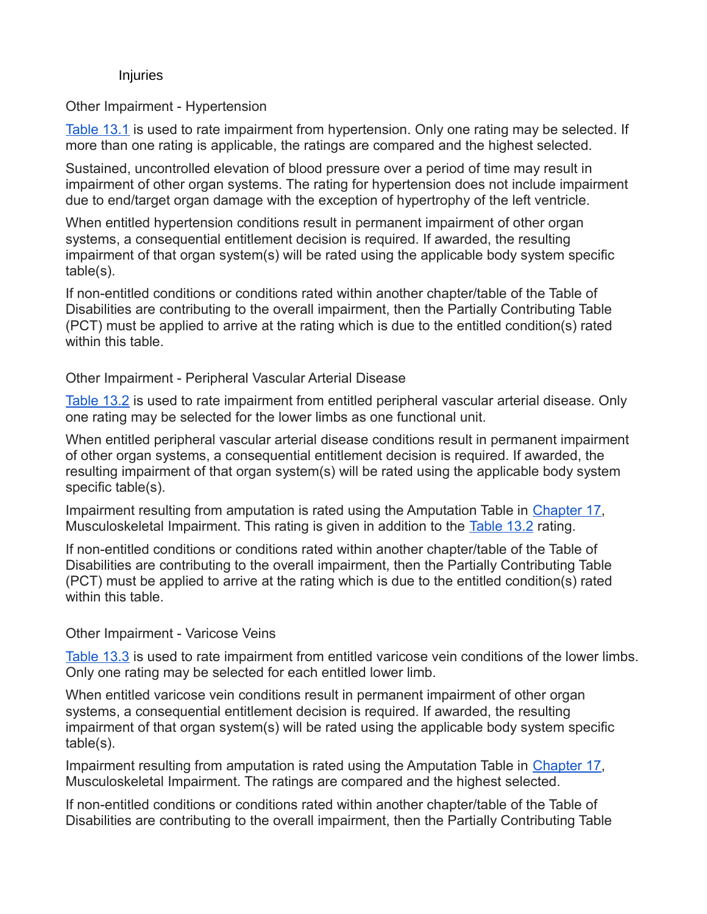#### Injuries

Other Impairment - Hypertension

[Table 13.1](https://www.veterans.gc.ca/eng/health-support/physical-health-and-wellness/compensation-illness-injury/disability-benefits/benefits-determined/table-of-disabilities/ch-13-2006#t01) is used to rate impairment from hypertension. Only one rating may be selected. If more than one rating is applicable, the ratings are compared and the highest selected.

Sustained, uncontrolled elevation of blood pressure over a period of time may result in impairment of other organ systems. The rating for hypertension does not include impairment due to end/target organ damage with the exception of hypertrophy of the left ventricle.

When entitled hypertension conditions result in permanent impairment of other organ systems, a consequential entitlement decision is required. If awarded, the resulting impairment of that organ system(s) will be rated using the applicable body system specific table(s).

If non-entitled conditions or conditions rated within another chapter/table of the Table of Disabilities are contributing to the overall impairment, then the Partially Contributing Table (PCT) must be applied to arrive at the rating which is due to the entitled condition(s) rated within this table.

Other Impairment - Peripheral Vascular Arterial Disease

[Table 13.2](https://www.veterans.gc.ca/eng/health-support/physical-health-and-wellness/compensation-illness-injury/disability-benefits/benefits-determined/table-of-disabilities/ch-13-2006#t02) is used to rate impairment from entitled peripheral vascular arterial disease. Only one rating may be selected for the lower limbs as one functional unit.

When entitled peripheral vascular arterial disease conditions result in permanent impairment of other organ systems, a consequential entitlement decision is required. If awarded, the resulting impairment of that organ system(s) will be rated using the applicable body system specific table(s).

Impairment resulting from amputation is rated using the Amputation Table in [Chapter 17,](https://www.veterans.gc.ca/eng/services/after-injury/disability-benefits/benefits-determined/table-of-disabilities/ch-17-2006) Musculoskeletal Impairment. This rating is given in addition to the [Table 13.2](https://www.veterans.gc.ca/eng/health-support/physical-health-and-wellness/compensation-illness-injury/disability-benefits/benefits-determined/table-of-disabilities/ch-13-2006#t02) rating.

If non-entitled conditions or conditions rated within another chapter/table of the Table of Disabilities are contributing to the overall impairment, then the Partially Contributing Table (PCT) must be applied to arrive at the rating which is due to the entitled condition(s) rated within this table.

#### Other Impairment - Varicose Veins

[Table 13.3](https://www.veterans.gc.ca/eng/health-support/physical-health-and-wellness/compensation-illness-injury/disability-benefits/benefits-determined/table-of-disabilities/ch-13-2006#t03) is used to rate impairment from entitled varicose vein conditions of the lower limbs. Only one rating may be selected for each entitled lower limb.

When entitled varicose vein conditions result in permanent impairment of other organ systems, a consequential entitlement decision is required. If awarded, the resulting impairment of that organ system(s) will be rated using the applicable body system specific table(s).

Impairment resulting from amputation is rated using the Amputation Table in [Chapter 17,](https://www.veterans.gc.ca/eng/services/after-injury/disability-benefits/benefits-determined/table-of-disabilities/ch-17-2006) Musculoskeletal Impairment. The ratings are compared and the highest selected.

If non-entitled conditions or conditions rated within another chapter/table of the Table of Disabilities are contributing to the overall impairment, then the Partially Contributing Table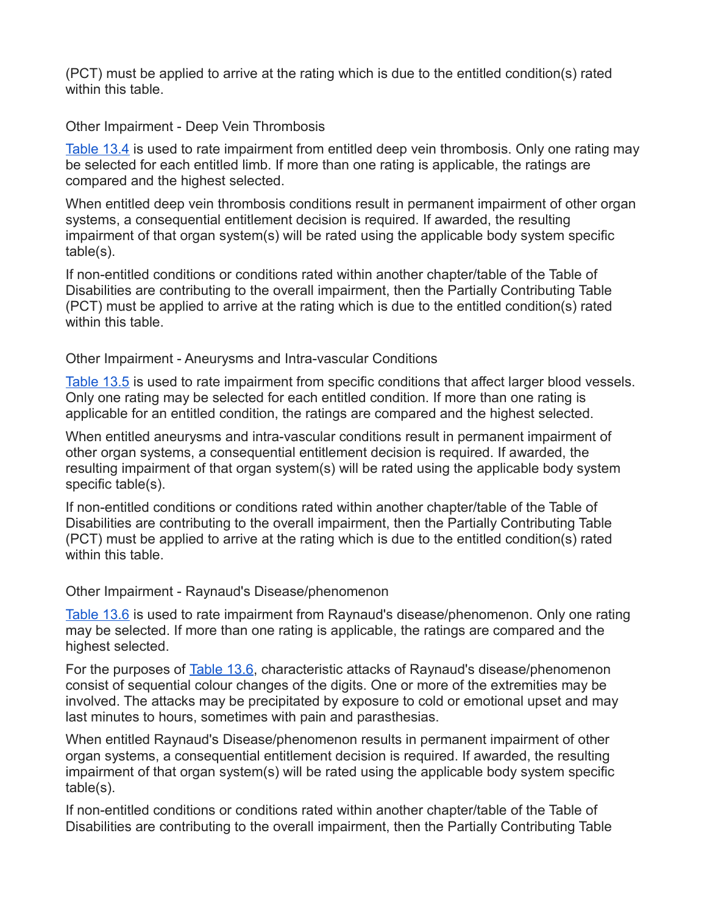(PCT) must be applied to arrive at the rating which is due to the entitled condition(s) rated within this table.

Other Impairment - Deep Vein Thrombosis

[Table 13.4](https://www.veterans.gc.ca/eng/health-support/physical-health-and-wellness/compensation-illness-injury/disability-benefits/benefits-determined/table-of-disabilities/ch-13-2006#t04) is used to rate impairment from entitled deep vein thrombosis. Only one rating may be selected for each entitled limb. If more than one rating is applicable, the ratings are compared and the highest selected.

When entitled deep vein thrombosis conditions result in permanent impairment of other organ systems, a consequential entitlement decision is required. If awarded, the resulting impairment of that organ system(s) will be rated using the applicable body system specific table(s).

If non-entitled conditions or conditions rated within another chapter/table of the Table of Disabilities are contributing to the overall impairment, then the Partially Contributing Table (PCT) must be applied to arrive at the rating which is due to the entitled condition(s) rated within this table.

Other Impairment - Aneurysms and Intra-vascular Conditions

[Table 13.5](https://www.veterans.gc.ca/eng/health-support/physical-health-and-wellness/compensation-illness-injury/disability-benefits/benefits-determined/table-of-disabilities/ch-13-2006#t05) is used to rate impairment from specific conditions that affect larger blood vessels. Only one rating may be selected for each entitled condition. If more than one rating is applicable for an entitled condition, the ratings are compared and the highest selected.

When entitled aneurysms and intra-vascular conditions result in permanent impairment of other organ systems, a consequential entitlement decision is required. If awarded, the resulting impairment of that organ system(s) will be rated using the applicable body system specific table(s).

If non-entitled conditions or conditions rated within another chapter/table of the Table of Disabilities are contributing to the overall impairment, then the Partially Contributing Table (PCT) must be applied to arrive at the rating which is due to the entitled condition(s) rated within this table.

Other Impairment - Raynaud's Disease/phenomenon

[Table 13.6](https://www.veterans.gc.ca/eng/health-support/physical-health-and-wellness/compensation-illness-injury/disability-benefits/benefits-determined/table-of-disabilities/ch-13-2006#t06) is used to rate impairment from Raynaud's disease/phenomenon. Only one rating may be selected. If more than one rating is applicable, the ratings are compared and the highest selected.

For the purposes of [Table 13.6,](https://www.veterans.gc.ca/eng/health-support/physical-health-and-wellness/compensation-illness-injury/disability-benefits/benefits-determined/table-of-disabilities/ch-13-2006#t06) characteristic attacks of Raynaud's disease/phenomenon consist of sequential colour changes of the digits. One or more of the extremities may be involved. The attacks may be precipitated by exposure to cold or emotional upset and may last minutes to hours, sometimes with pain and parasthesias.

When entitled Raynaud's Disease/phenomenon results in permanent impairment of other organ systems, a consequential entitlement decision is required. If awarded, the resulting impairment of that organ system(s) will be rated using the applicable body system specific table(s).

If non-entitled conditions or conditions rated within another chapter/table of the Table of Disabilities are contributing to the overall impairment, then the Partially Contributing Table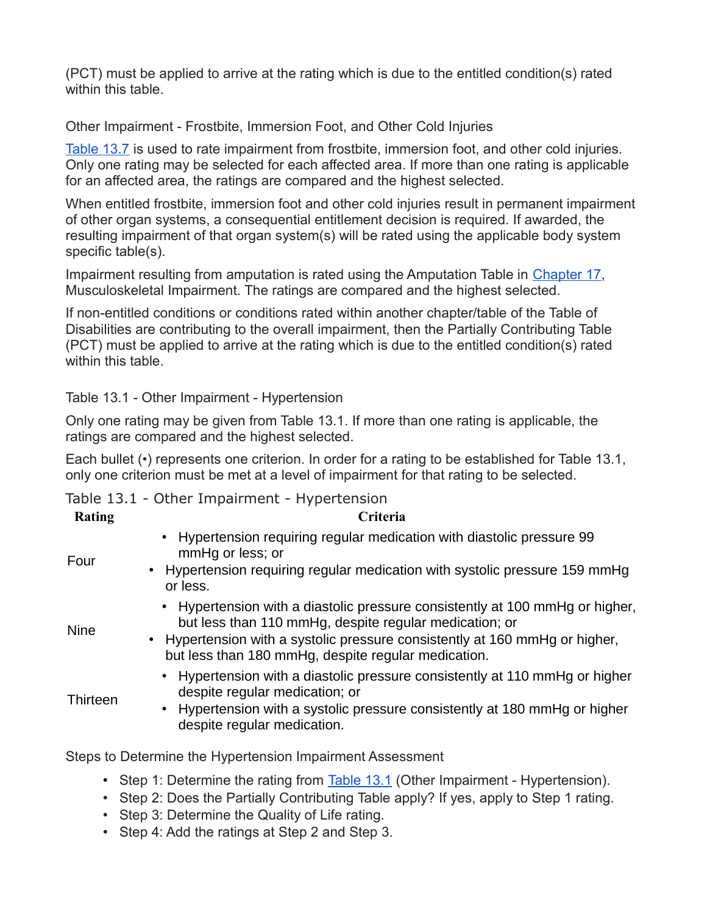(PCT) must be applied to arrive at the rating which is due to the entitled condition(s) rated within this table.

Other Impairment - Frostbite, Immersion Foot, and Other Cold Injuries

[Table 13.7](https://www.veterans.gc.ca/eng/health-support/physical-health-and-wellness/compensation-illness-injury/disability-benefits/benefits-determined/table-of-disabilities/ch-13-2006#t07) is used to rate impairment from frostbite, immersion foot, and other cold injuries. Only one rating may be selected for each affected area. If more than one rating is applicable for an affected area, the ratings are compared and the highest selected.

When entitled frostbite, immersion foot and other cold injuries result in permanent impairment of other organ systems, a consequential entitlement decision is required. If awarded, the resulting impairment of that organ system(s) will be rated using the applicable body system specific table(s).

Impairment resulting from amputation is rated using the Amputation Table in [Chapter 17,](https://www.veterans.gc.ca/eng/services/after-injury/disability-benefits/benefits-determined/table-of-disabilities/ch-17-2006) Musculoskeletal Impairment. The ratings are compared and the highest selected.

If non-entitled conditions or conditions rated within another chapter/table of the Table of Disabilities are contributing to the overall impairment, then the Partially Contributing Table (PCT) must be applied to arrive at the rating which is due to the entitled condition(s) rated within this table.

Table 13.1 - Other Impairment - Hypertension

Only one rating may be given from Table 13.1. If more than one rating is applicable, the ratings are compared and the highest selected.

Each bullet (•) represents one criterion. In order for a rating to be established for Table 13.1, only one criterion must be met at a level of impairment for that rating to be selected.

Table 13.1 - Other Impairment - Hypertension

| <b>Rating</b> | Criteria                                                                                                                                                                                                                                                                     |
|---------------|------------------------------------------------------------------------------------------------------------------------------------------------------------------------------------------------------------------------------------------------------------------------------|
| Four          | • Hypertension requiring regular medication with diastolic pressure 99<br>mmHg or less; or<br>• Hypertension requiring regular medication with systolic pressure 159 mmHg<br>or less.                                                                                        |
| <b>Nine</b>   | • Hypertension with a diastolic pressure consistently at 100 mmHg or higher,<br>but less than 110 mmHg, despite regular medication; or<br>• Hypertension with a systolic pressure consistently at 160 mmHg or higher,<br>but less than 180 mmHg, despite regular medication. |
| Thirteen      | • Hypertension with a diastolic pressure consistently at 110 mmHg or higher<br>despite regular medication; or<br>• Hypertension with a systolic pressure consistently at 180 mmHg or higher<br>despite regular medication.                                                   |
|               | Steps to Determine the Hypertension Impairment Assessment                                                                                                                                                                                                                    |

• Step 1: Determine the rating from [Table 13.1](https://www.veterans.gc.ca/eng/health-support/physical-health-and-wellness/compensation-illness-injury/disability-benefits/benefits-determined/table-of-disabilities/ch-13-2006#t01) (Other Impairment - Hypertension).

• Step 2: Does the Partially Contributing Table apply? If yes, apply to Step 1 rating.

- Step 3: Determine the Quality of Life rating.
- Step 4: Add the ratings at Step 2 and Step 3.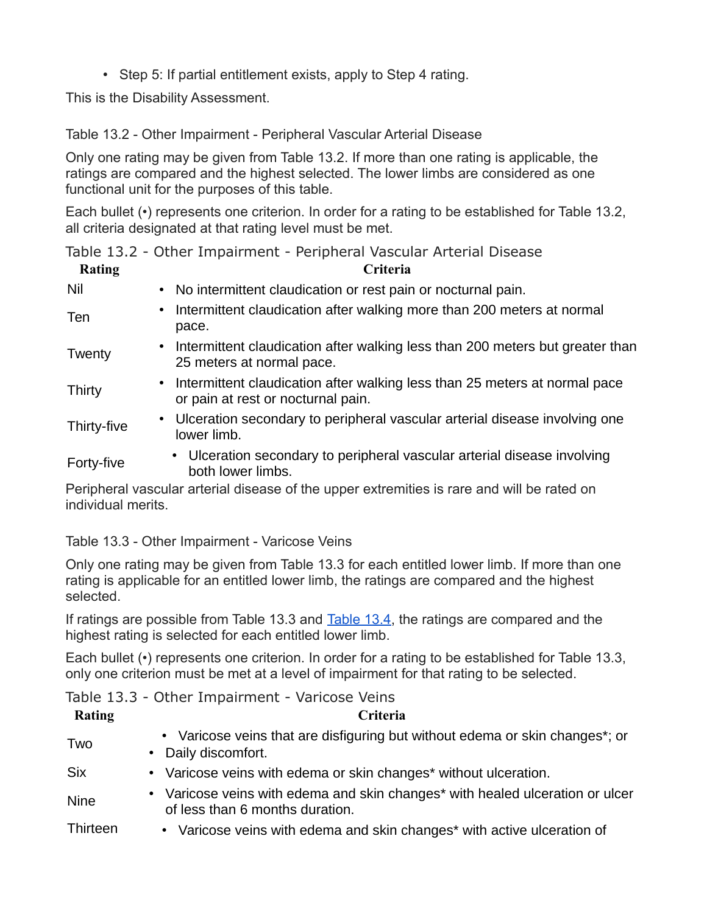• Step 5: If partial entitlement exists, apply to Step 4 rating.

This is the Disability Assessment.

Table 13.2 - Other Impairment - Peripheral Vascular Arterial Disease

Only one rating may be given from Table 13.2. If more than one rating is applicable, the ratings are compared and the highest selected. The lower limbs are considered as one functional unit for the purposes of this table.

Each bullet (•) represents one criterion. In order for a rating to be established for Table 13.2, all criteria designated at that rating level must be met.

|  |  |  |  | Table 13.2 - Other Impairment - Peripheral Vascular Arterial Disease |  |  |  |  |  |
|--|--|--|--|----------------------------------------------------------------------|--|--|--|--|--|
|--|--|--|--|----------------------------------------------------------------------|--|--|--|--|--|

| <b>Rating</b> | Criteria                                                                                                           |
|---------------|--------------------------------------------------------------------------------------------------------------------|
| Nil           | • No intermittent claudication or rest pain or nocturnal pain.                                                     |
| Ten           | Intermittent claudication after walking more than 200 meters at normal<br>$\bullet$<br>pace.                       |
| Twenty        | • Intermittent claudication after walking less than 200 meters but greater than<br>25 meters at normal pace.       |
| <b>Thirty</b> | • Intermittent claudication after walking less than 25 meters at normal pace<br>or pain at rest or nocturnal pain. |
| Thirty-five   | • Ulceration secondary to peripheral vascular arterial disease involving one<br>lower limb.                        |
| Forty-five    | • Ulceration secondary to peripheral vascular arterial disease involving<br>both lower limbs.                      |
|               | Derinheral vascular arterial disease of the unner extremities is rare and will be rated on                         |

Peripheral vascular arterial disease of the upper extremities is rare and will be rated on individual merits.

Table 13.3 - Other Impairment - Varicose Veins

Only one rating may be given from Table 13.3 for each entitled lower limb. If more than one rating is applicable for an entitled lower limb, the ratings are compared and the highest selected.

If ratings are possible from Table 13.3 and [Table 13.4,](https://www.veterans.gc.ca/eng/health-support/physical-health-and-wellness/compensation-illness-injury/disability-benefits/benefits-determined/table-of-disabilities/ch-13-2006#t04) the ratings are compared and the highest rating is selected for each entitled lower limb.

Each bullet (•) represents one criterion. In order for a rating to be established for Table 13.3, only one criterion must be met at a level of impairment for that rating to be selected.

| Table 13.3 - Other Impairment - Varicose Veins |  |
|------------------------------------------------|--|
|------------------------------------------------|--|

| <b>Rating</b> | <b>Criteria</b>                                                                                                  |
|---------------|------------------------------------------------------------------------------------------------------------------|
| Two           | • Varicose veins that are disfiguring but without edema or skin changes*; or<br>• Daily discomfort.              |
| <b>Six</b>    | • Varicose veins with edema or skin changes* without ulceration.                                                 |
| <b>Nine</b>   | • Varicose veins with edema and skin changes* with healed ulceration or ulcer<br>of less than 6 months duration. |
| Thirteen      | • Varicose veins with edema and skin changes* with active ulceration of                                          |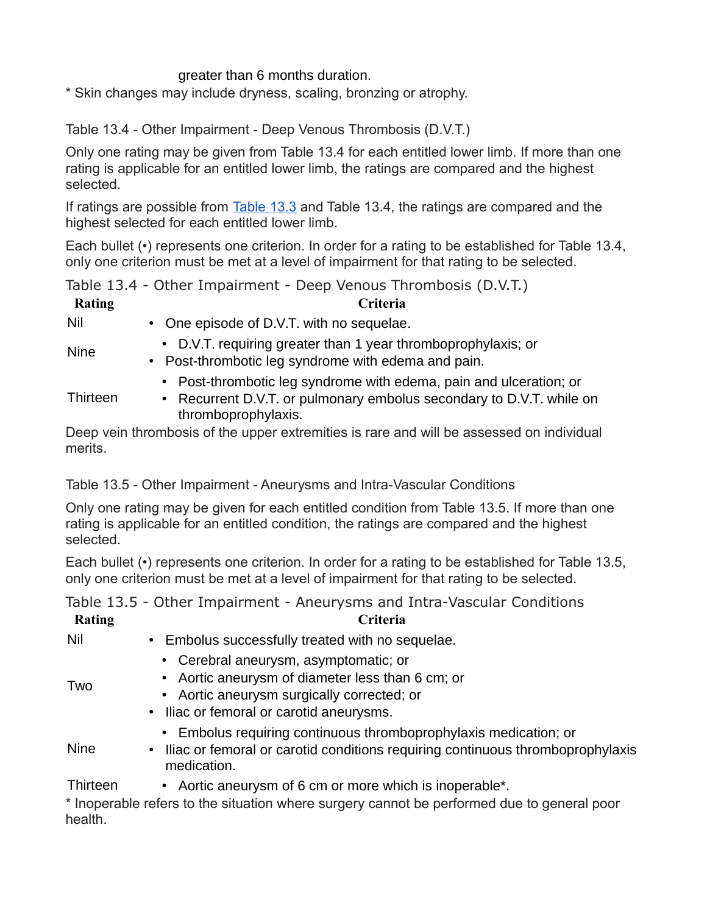#### greater than 6 months duration.

\* Skin changes may include dryness, scaling, bronzing or atrophy.

Table 13.4 - Other Impairment - Deep Venous Thrombosis (D.V.T.)

Only one rating may be given from Table 13.4 for each entitled lower limb. If more than one rating is applicable for an entitled lower limb, the ratings are compared and the highest selected.

If ratings are possible from **[Table 13.3](https://www.veterans.gc.ca/eng/health-support/physical-health-and-wellness/compensation-illness-injury/disability-benefits/benefits-determined/table-of-disabilities/ch-13-2006#t03)** and Table 13.4, the ratings are compared and the highest selected for each entitled lower limb.

Each bullet (•) represents one criterion. In order for a rating to be established for Table 13.4, only one criterion must be met at a level of impairment for that rating to be selected.

Table 13.4 - Other Impairment - Deep Venous Thrombosis (D.V.T.)

| Rating      | Criteria                                                                                                                                                          |
|-------------|-------------------------------------------------------------------------------------------------------------------------------------------------------------------|
| Nil         | • One episode of D.V.T. with no sequelae.                                                                                                                         |
| <b>Nine</b> | • D.V.T. requiring greater than 1 year thromboprophylaxis; or<br>• Post-thrombotic leg syndrome with edema and pain.                                              |
| Thirteen    | • Post-thrombotic leg syndrome with edema, pain and ulceration; or<br>• Recurrent D.V.T. or pulmonary embolus secondary to D.V.T. while on<br>thromboprophylaxis. |

Deep vein thrombosis of the upper extremities is rare and will be assessed on individual merits.

Table 13.5 - Other Impairment - Aneurysms and Intra-Vascular Conditions

Only one rating may be given for each entitled condition from Table 13.5. If more than one rating is applicable for an entitled condition, the ratings are compared and the highest selected.

Each bullet (•) represents one criterion. In order for a rating to be established for Table 13.5, only one criterion must be met at a level of impairment for that rating to be selected.

Table 13.5 - Other Impairment - Aneurysms and Intra-Vascular Conditions

| <b>Rating</b> | <b>Criteria</b>                                                                                                                                                                     |
|---------------|-------------------------------------------------------------------------------------------------------------------------------------------------------------------------------------|
| <b>Nil</b>    | • Embolus successfully treated with no sequelae.                                                                                                                                    |
| Two           | • Cerebral aneurysm, asymptomatic; or<br>• Aortic aneurysm of diameter less than 6 cm; or<br>• Aortic aneurysm surgically corrected; or<br>• Iliac or femoral or carotid aneurysms. |
| <b>Nine</b>   | • Embolus requiring continuous thromboprophylaxis medication; or<br>• Iliac or femoral or carotid conditions requiring continuous thromboprophylaxis<br>medication.                 |
| Thirteen      | • Aortic aneurysm of 6 cm or more which is inoperable <sup>*</sup> .<br>* Inoperable refers to the situation where surgery cannot be performed due to general poor                  |

\* Inoperable refers to the situation where surgery cannot be performed due to general poor health.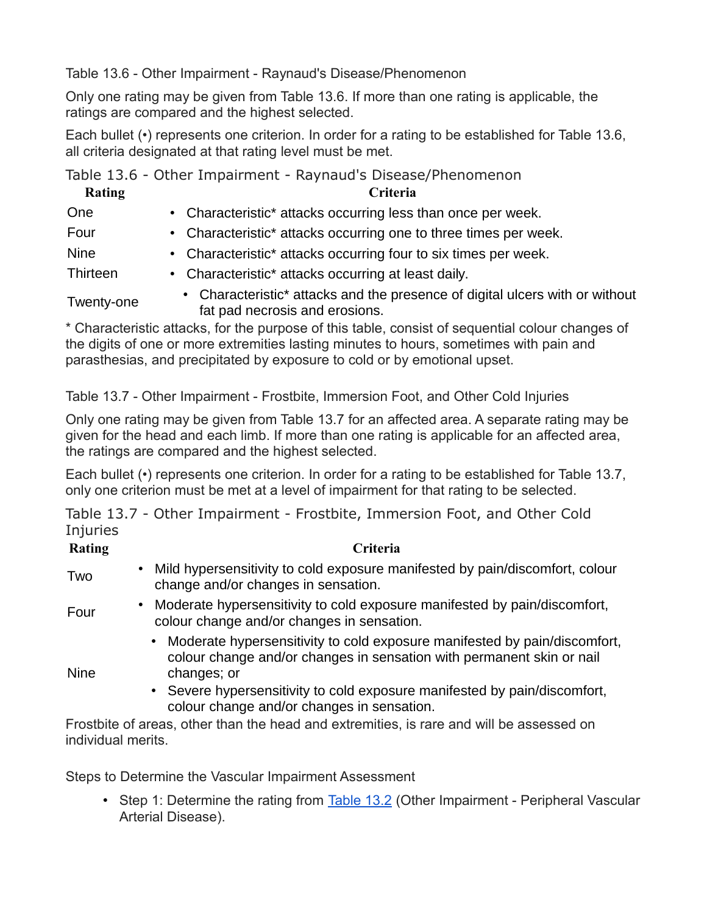Table 13.6 - Other Impairment - Raynaud's Disease/Phenomenon

Only one rating may be given from Table 13.6. If more than one rating is applicable, the ratings are compared and the highest selected.

Each bullet (•) represents one criterion. In order for a rating to be established for Table 13.6, all criteria designated at that rating level must be met.

Table 13.6 - Other Impairment - Raynaud's Disease/Phenomenon

| Rating      | Criteria                                                                                                                                                                                                                         |
|-------------|----------------------------------------------------------------------------------------------------------------------------------------------------------------------------------------------------------------------------------|
| One         | • Characteristic* attacks occurring less than once per week.                                                                                                                                                                     |
| Four        | • Characteristic* attacks occurring one to three times per week.                                                                                                                                                                 |
| <b>Nine</b> | • Characteristic* attacks occurring four to six times per week.                                                                                                                                                                  |
| Thirteen    | • Characteristic* attacks occurring at least daily.                                                                                                                                                                              |
| Twenty-one  | • Characteristic* attacks and the presence of digital ulcers with or without<br>fat pad necrosis and erosions.                                                                                                                   |
|             | $\star$ and the contraction of the contract of the contract of the contract of the contract of the contract of the contract of the contract of the contract of the contract of the contract of the contract of the contract of t |

\* Characteristic attacks, for the purpose of this table, consist of sequential colour changes of the digits of one or more extremities lasting minutes to hours, sometimes with pain and parasthesias, and precipitated by exposure to cold or by emotional upset.

Table 13.7 - Other Impairment - Frostbite, Immersion Foot, and Other Cold Injuries

Only one rating may be given from Table 13.7 for an affected area. A separate rating may be given for the head and each limb. If more than one rating is applicable for an affected area, the ratings are compared and the highest selected.

Each bullet (•) represents one criterion. In order for a rating to be established for Table 13.7, only one criterion must be met at a level of impairment for that rating to be selected.

Table 13.7 - Other Impairment - Frostbite, Immersion Foot, and Other Cold **Injuries** 

| Rating      | <b>Criteria</b>                                                                                                                                                     |
|-------------|---------------------------------------------------------------------------------------------------------------------------------------------------------------------|
| Two         | • Mild hypersensitivity to cold exposure manifested by pain/discomfort, colour<br>change and/or changes in sensation.                                               |
| Four        | • Moderate hypersensitivity to cold exposure manifested by pain/discomfort,<br>colour change and/or changes in sensation.                                           |
| <b>Nine</b> | • Moderate hypersensitivity to cold exposure manifested by pain/discomfort,<br>colour change and/or changes in sensation with permanent skin or nail<br>changes; or |
|             | • Severe hypersensitivity to cold exposure manifested by pain/discomfort,                                                                                           |

colour change and/or changes in sensation. Frostbite of areas, other than the head and extremities, is rare and will be assessed on individual merits.

Steps to Determine the Vascular Impairment Assessment

• Step 1: Determine the rating from [Table 13.2](https://www.veterans.gc.ca/eng/health-support/physical-health-and-wellness/compensation-illness-injury/disability-benefits/benefits-determined/table-of-disabilities/ch-13-2006#t02) (Other Impairment - Peripheral Vascular Arterial Disease).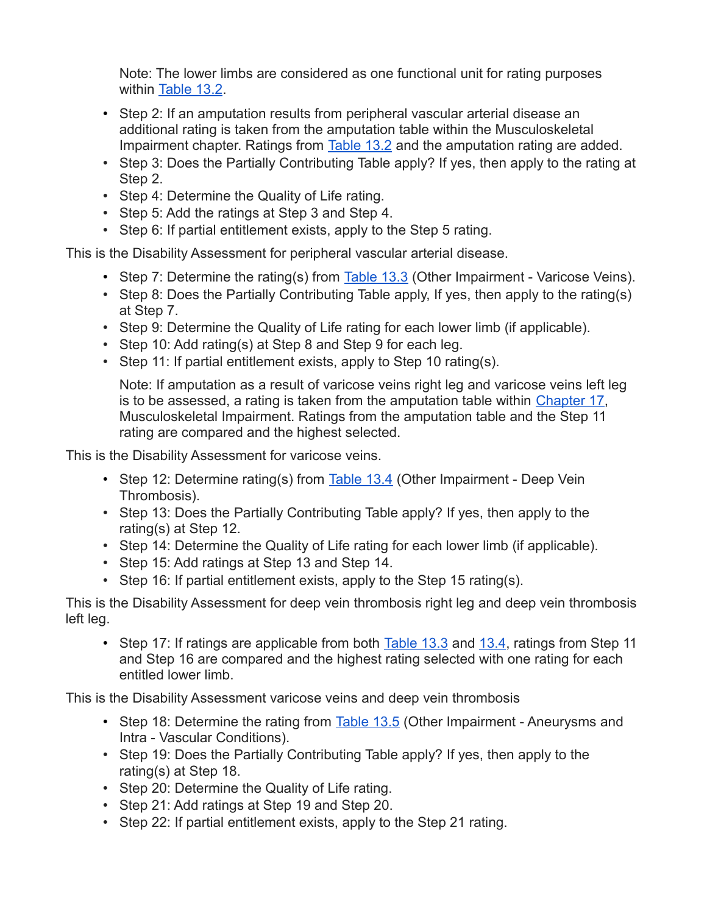Note: The lower limbs are considered as one functional unit for rating purposes within [Table 13.2.](https://www.veterans.gc.ca/eng/health-support/physical-health-and-wellness/compensation-illness-injury/disability-benefits/benefits-determined/table-of-disabilities/ch-13-2006#t02)

- Step 2: If an amputation results from peripheral vascular arterial disease an additional rating is taken from the amputation table within the Musculoskeletal Impairment chapter. Ratings from [Table 13.2](https://www.veterans.gc.ca/eng/health-support/physical-health-and-wellness/compensation-illness-injury/disability-benefits/benefits-determined/table-of-disabilities/ch-13-2006#t02) and the amputation rating are added.
- Step 3: Does the Partially Contributing Table apply? If yes, then apply to the rating at Step 2.
- Step 4: Determine the Quality of Life rating.
- Step 5: Add the ratings at Step 3 and Step 4.
- Step 6: If partial entitlement exists, apply to the Step 5 rating.

This is the Disability Assessment for peripheral vascular arterial disease.

- Step 7: Determine the rating(s) from  $\overline{\text{Table 13.3}}$  $\overline{\text{Table 13.3}}$  $\overline{\text{Table 13.3}}$  (Other Impairment Varicose Veins).
- Step 8: Does the Partially Contributing Table apply, If yes, then apply to the rating(s) at Step 7.
- Step 9: Determine the Quality of Life rating for each lower limb (if applicable).
- Step 10: Add rating(s) at Step 8 and Step 9 for each leg.
- Step 11: If partial entitlement exists, apply to Step 10 rating(s).

Note: If amputation as a result of varicose veins right leg and varicose veins left leg is to be assessed, a rating is taken from the amputation table within [Chapter 17,](https://www.veterans.gc.ca/eng/services/after-injury/disability-benefits/benefits-determined/table-of-disabilities/ch-17-2006) Musculoskeletal Impairment. Ratings from the amputation table and the Step 11 rating are compared and the highest selected.

This is the Disability Assessment for varicose veins.

- Step 12: Determine rating(s) from  $Table 13.4$  (Other Impairment Deep Vein Thrombosis).
- Step 13: Does the Partially Contributing Table apply? If yes, then apply to the rating(s) at Step 12.
- Step 14: Determine the Quality of Life rating for each lower limb (if applicable).
- Step 15: Add ratings at Step 13 and Step 14.
- Step 16: If partial entitlement exists, apply to the Step 15 rating(s).

This is the Disability Assessment for deep vein thrombosis right leg and deep vein thrombosis left leg.

• Step 17: If ratings are applicable from both [Table 13.3](https://www.veterans.gc.ca/eng/health-support/physical-health-and-wellness/compensation-illness-injury/disability-benefits/benefits-determined/table-of-disabilities/ch-13-2006#t03) and [13.4,](https://www.veterans.gc.ca/eng/health-support/physical-health-and-wellness/compensation-illness-injury/disability-benefits/benefits-determined/table-of-disabilities/ch-13-2006#t04) ratings from Step 11 and Step 16 are compared and the highest rating selected with one rating for each entitled lower limb.

This is the Disability Assessment varicose veins and deep vein thrombosis

- Step 18: Determine the rating from **[Table 13.5](https://www.veterans.gc.ca/eng/health-support/physical-health-and-wellness/compensation-illness-injury/disability-benefits/benefits-determined/table-of-disabilities/ch-13-2006#t05)** (Other Impairment Aneurysms and Intra - Vascular Conditions).
- Step 19: Does the Partially Contributing Table apply? If yes, then apply to the rating(s) at Step 18.
- Step 20: Determine the Quality of Life rating.
- Step 21: Add ratings at Step 19 and Step 20.
- Step 22: If partial entitlement exists, apply to the Step 21 rating.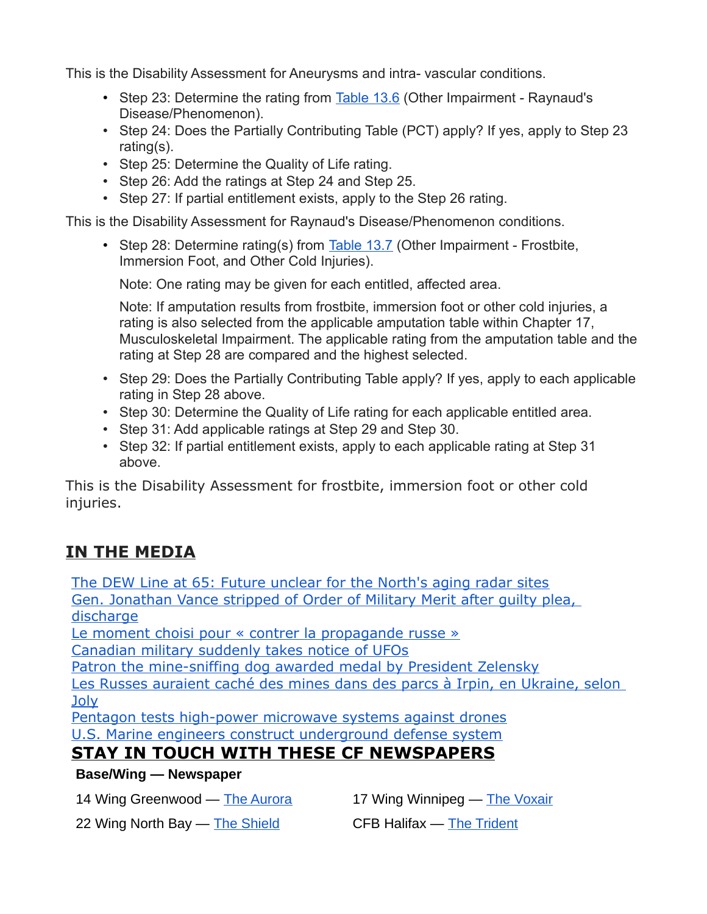This is the Disability Assessment for Aneurysms and intra- vascular conditions.

- Step 23: Determine the rating from **[Table 13.6](https://www.veterans.gc.ca/eng/health-support/physical-health-and-wellness/compensation-illness-injury/disability-benefits/benefits-determined/table-of-disabilities/ch-13-2006#t06)** (Other Impairment Raynaud's Disease/Phenomenon).
- Step 24: Does the Partially Contributing Table (PCT) apply? If yes, apply to Step 23 rating(s).
- Step 25: Determine the Quality of Life rating.
- Step 26: Add the ratings at Step 24 and Step 25.
- Step 27: If partial entitlement exists, apply to the Step 26 rating.

This is the Disability Assessment for Raynaud's Disease/Phenomenon conditions.

• Step 28: Determine rating(s) from  $\overline{\text{Table 13.7}}$  $\overline{\text{Table 13.7}}$  $\overline{\text{Table 13.7}}$  (Other Impairment - Frostbite, Immersion Foot, and Other Cold Injuries).

Note: One rating may be given for each entitled, affected area.

Note: If amputation results from frostbite, immersion foot or other cold injuries, a rating is also selected from the applicable amputation table within Chapter 17, Musculoskeletal Impairment. The applicable rating from the amputation table and the rating at Step 28 are compared and the highest selected.

- Step 29: Does the Partially Contributing Table apply? If yes, apply to each applicable rating in Step 28 above.
- Step 30: Determine the Quality of Life rating for each applicable entitled area.
- Step 31: Add applicable ratings at Step 29 and Step 30.
- Step 32: If partial entitlement exists, apply to each applicable rating at Step 31 above.

This is the Disability Assessment for frostbite, immersion foot or other cold injuries.

## **IN THE MEDIA**

[The DEW Line at 65: Future unclear for the North's aging radar sites](http://sm1.multiview.com/t/gcH1AAdbaBPWNYDlQMBHcC0UgEJaaDKcQA4IeaaaaDKcBRH1X3yaa?q=wbgYuXqpifhig~2513Yhio.khq~amp;g=qhaeodkvclboa~257xeboi.qbw~amp;i=Ee~amp;0=) [Gen. Jonathan Vance stripped of Order of Military Merit after guilty plea,](http://sm1.multiview.com/t/gcH1AAdbaBPWNYDlQMBHcC0UgEJaaDKcQA4IeaaaaDKcBRH1X3yaa?q=wbgYuXqpifhig~2513Yhio.khq~amp;g=qhaeodkvclboa~257xeboi.qbw~amp;i=Eg~amp;0=)  [discharge](http://sm1.multiview.com/t/gcH1AAdbaBPWNYDlQMBHcC0UgEJaaDKcQA4IeaaaaDKcBRH1X3yaa?q=wbgYuXqpifhig~2513Yhio.khq~amp;g=qhaeodkvclboa~257xeboi.qbw~amp;i=Eg~amp;0=)

[Le moment choisi pour « contrer la propagande russe »](http://sm1.multiview.com/t/gcH1AAdbaBPWNYDlQMBHcC0UgEJaaDKcQA4IeaaaaDKcBRH1X3yaa?q=wbgYuXqpifhig~2513Yhio.khq~amp;g=qhaeodkvclboa~257xeboi.qbw~amp;i=Ei~amp;0=)

[Canadian military suddenly takes notice of UFOs](http://sm1.multiview.com/t/gcH1AAdbaBPWNYDlQMBHcC0UgEJaaDKcQA4IeaaaaDKcBRH1X3yaa?q=wbgYuXqpifhig~2513Yhio.khq~amp;g=qhaeodkvclboa~257xeboi.qbw~amp;i=Ek~amp;0=)

[Patron the mine-sniffing dog awarded medal by President Zelensky](http://sm1.multiview.com/t/gcH1AAdbaBPWNYDlQMBHcC0UgEJaaDKcQA4IeaaaaDKcBRH1X3yaa?q=wbgYuXqpifhig~2513Yhio.khq~amp;g=qhaeodkvclboa~257xeboi.qbw~amp;i=Em~amp;0=)

[Les Russes auraient caché des mines dans des parcs à Irpin, en Ukraine, selon](http://sm1.multiview.com/t/gcH1AAdbaBPWNYDlQMBHcC0UgEJaaDKcQA4IeaaaaDKcBRH1X3yaa?q=wbgYuXqpifhig~2513Yhio.khq~amp;g=qhaeodkvclboa~257xeboi.qbw~amp;i=Eo~amp;0=)  [Joly](http://sm1.multiview.com/t/gcH1AAdbaBPWNYDlQMBHcC0UgEJaaDKcQA4IeaaaaDKcBRH1X3yaa?q=wbgYuXqpifhig~2513Yhio.khq~amp;g=qhaeodkvclboa~257xeboi.qbw~amp;i=Eo~amp;0=)

[Pentagon tests high-power microwave systems against drones](http://sm1.multiview.com/t/gcH1AAdbaBPWNYDlQMBHcC0UgEJaaDKcQA4IeaaaaDKcBRH1X3yaa?q=wbgYuXqpifhig~2513Yhio.khq~amp;g=qhaeodkvclboa~257xeboi.qbw~amp;i=Eq~amp;0=) [U.S. Marine engineers construct underground defense system](http://sm1.multiview.com/t/gcH1AAdbaBPWNYDlQMBHcC0UgEJaaDKcQA4IeaaaaDKcBRH1X3yaa?q=wbgYuXqpifhig~2513Yhio.khq~amp;g=qhaeodkvclboa~257xeboi.qbw~amp;i=Es~amp;0=)

## **STAY IN TOUCH WITH THESE CF NEWSPAPERS**

#### **Base/Wing — Newspaper**

14 Wing Greenwood — [The Aurora](http://sm1.multiview.com/t/gcH1AAdbaBPWNYDlQMBHcC0UgEJaaDKcQA4IeaaaaDKcBRH1X3yaa?q=wbgYuXqpifhig~2513Yhio.khq~amp;g=qhaeodkvclboa~257xeboi.qbw~amp;i=i~amp;u=) 17 Wing Winnipeg — [The Voxair](http://sm1.multiview.com/t/gcH1AAdbaBPWNYDlQMBHcC0UgEJaaDKcQA4IeaaaaDKcBRH1X3yaa?q=wbgYuXqpifhig~2513Yhio.khq~amp;g=qhaeodkvclboa~257xeboi.qbw~amp;i=j~amp;u=)

22 Wing North Bay — [The Shield](http://sm1.multiview.com/t/gcH1AAdbaBPWNYDlQMBHcC0UgEJaaDKcQA4IeaaaaDKcBRH1X3yaa?q=wbgYuXqpifhig~2513Yhio.khq~amp;g=qhaeodkvclboa~257xeboi.qbw~amp;i=k~amp;u=) CFB Halifax — [The Trident](http://sm1.multiview.com/t/gcH1AAdbaBPWNYDlQMBHcC0UgEJaaDKcQA4IeaaaaDKcBRH1X3yaa?q=wbgYuXqpifhig~2513Yhio.khq~amp;g=qhaeodkvclboa~257xeboi.qbw~amp;i=l~amp;u=)